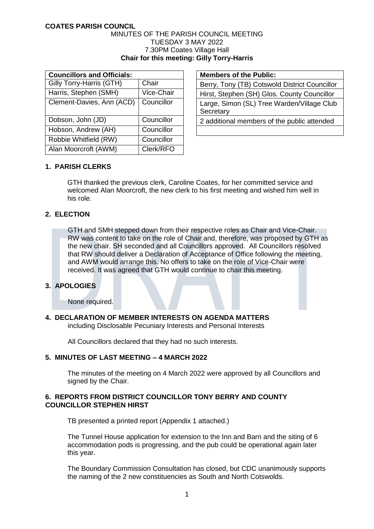#### MINUTES OF THE PARISH COUNCIL MEETING TUESDAY 3 MAY 2022 7.30PM Coates Village Hall **Chair for this meeting: Gilly Torry-Harris**

| <b>Councillors and Officials:</b> |            |  |  |
|-----------------------------------|------------|--|--|
| Gilly Torry-Harris (GTH)          | Chair      |  |  |
| Harris, Stephen (SMH)             | Vice-Chair |  |  |
| Clement-Davies, Ann (ACD)         | Councillor |  |  |
|                                   |            |  |  |
| Dobson, John (JD)                 | Councillor |  |  |
| Hobson, Andrew (AH)               | Councillor |  |  |
| Robbie Whitfield (RW)             | Councillor |  |  |
| Alan Moorcroft (AWM)              | Clerk/RFO  |  |  |

**Members of the Public:** 

Berry, Tony (TB) Cotswold District Councillor Hirst, Stephen (SH) Glos. County Councillor Large, Simon (SL) Tree Warden/Village Club **Secretary** 2 additional members of the public attended

# **1. PARISH CLERKS**

GTH thanked the previous clerk, Caroline Coates, for her committed service and welcomed Alan Moorcroft, the new clerk to his first meeting and wished him well in his role.

# **2. ELECTION**

GTH and SMH stepped down from their respective roles as Chair and Vice-Chair. RW was content to take on the role of Chair and, therefore, was proposed by GTH as the new chair. SH seconded and all Councillors approved. All Councillors resolved that RW should deliver a Declaration of Acceptance of Office following the meeting, and AWM would arrange this. No offers to take on the role of Vice-Chair were received. It was agreed that GTH would continue to chair this meeting.

# **3. APOLOGIES**

None required.

# **4. DECLARATION OF MEMBER INTERESTS ON AGENDA MATTERS**

including Disclosable Pecuniary Interests and Personal Interests

All Councillors declared that they had no such interests.

# **5. MINUTES OF LAST MEETING – 4 MARCH 2022**

The minutes of the meeting on 4 March 2022 were approved by all Councillors and signed by the Chair.

# **6. REPORTS FROM DISTRICT COUNCILLOR TONY BERRY AND COUNTY COUNCILLOR STEPHEN HIRST**

TB presented a printed report (Appendix 1 attached.)

The Tunnel House application for extension to the Inn and Barn and the siting of 6 accommodation pods is progressing, and the pub could be operational again later this year.

The Boundary Commission Consultation has closed, but CDC unanimously supports the naming of the 2 new constituencies as South and North Cotswolds.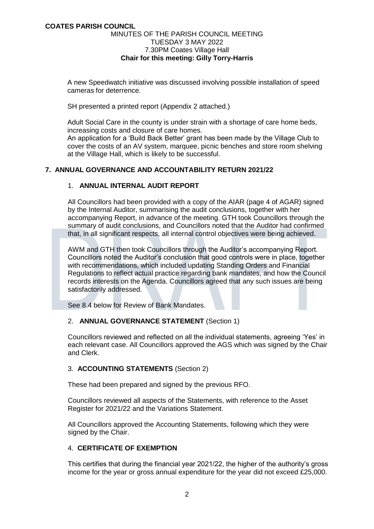### MINUTES OF THE PARISH COUNCIL MEETING TUESDAY 3 MAY 2022 7.30PM Coates Village Hall **Chair for this meeting: Gilly Torry-Harris**

A new Speedwatch initiative was discussed involving possible installation of speed cameras for deterrence.

SH presented a printed report (Appendix 2 attached.)

Adult Social Care in the county is under strain with a shortage of care home beds, increasing costs and closure of care homes.

An application for a 'Build Back Better' grant has been made by the Village Club to cover the costs of an AV system, marquee, picnic benches and store room shelving at the Village Hall, which is likely to be successful.

# **7. ANNUAL GOVERNANCE AND ACCOUNTABILITY RETURN 2021/22**

# 1. **ANNUAL INTERNAL AUDIT REPORT**

All Councillors had been provided with a copy of the AIAR (page 4 of AGAR) signed by the Internal Auditor, summarising the audit conclusions, together with her accompanying Report, in advance of the meeting. GTH took Councillors through the summary of audit conclusions, and Councillors noted that the Auditor had confirmed that, in all significant respects, all internal control objectives were being achieved.

AWM and GTH then took Councillors through the Auditor's accompanying Report. Councillors noted the Auditor's conclusion that good controls were in place, together with recommendations, which included updating Standing Orders and Financial Regulations to reflect actual practice regarding bank mandates, and how the Council records interests on the Agenda. Councillors agreed that any such issues are being satisfactorily addressed.

See 8.4 below for Review of Bank Mandates.

# 2. **ANNUAL GOVERNANCE STATEMENT** (Section 1)

Councillors reviewed and reflected on all the individual statements, agreeing 'Yes' in each relevant case. All Councillors approved the AGS which was signed by the Chair and Clerk.

# 3. **ACCOUNTING STATEMENTS** (Section 2)

These had been prepared and signed by the previous RFO.

Councillors reviewed all aspects of the Statements, with reference to the Asset Register for 2021/22 and the Variations Statement.

All Councillors approved the Accounting Statements, following which they were signed by the Chair.

# 4. **CERTIFICATE OF EXEMPTION**

This certifies that during the financial year 2021/22, the higher of the authority's gross income for the year or gross annual expenditure for the year did not exceed £25,000.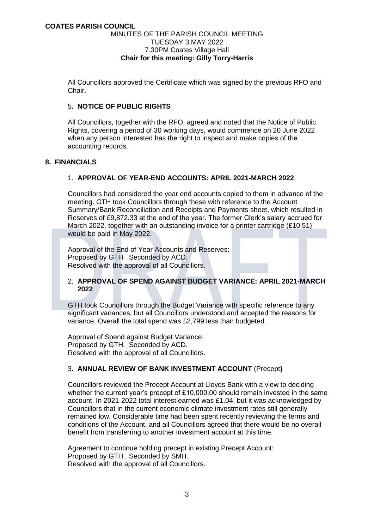#### MINUTES OF THE PARISH COUNCIL MEETING TUESDAY 3 MAY 2022 7.30PM Coates Village Hall **Chair for this meeting: Gilly Torry-Harris**

All Councillors approved the Certificate which was signed by the previous RFO and Chair.

## 5**. NOTICE OF PUBLIC RIGHTS**

All Councillors, together with the RFO, agreed and noted that the Notice of Public Rights, covering a period of 30 working days, would commence on 20 June 2022 when any person interested has the right to inspect and make copies of the accounting records.

# **8. FINANCIALS**

# 1. **APPROVAL OF YEAR-END ACCOUNTS: APRIL 2021-MARCH 2022**

Councillors had considered the year end accounts copied to them in advance of the meeting. GTH took Councillors through these with reference to the Account Summary/Bank Reconciliation and Receipts and Payments sheet, which resulted in Reserves of £9,872.33 at the end of the year. The former Clerk's salary accrued for March 2022, together with an outstanding invoice for a printer cartridge (£10.51) would be paid in May 2022.

Approval of the End of Year Accounts and Reserves: Proposed by GTH. Seconded by ACD. Resolved with the approval of all Councillors.

# 2. **APPROVAL OF SPEND AGAINST BUDGET VARIANCE: APRIL 2021-MARCH 2022**

GTH took Councillors through the Budget Variance with specific reference to any significant variances, but all Councillors understood and accepted the reasons for variance. Overall the total spend was £2,799 less than budgeted.

Approval of Spend against Budget Variance: Proposed by GTH. Seconded by ACD. Resolved with the approval of all Councillors.

# 3. **ANNUAL REVIEW OF BANK INVESTMENT ACCOUNT** (Precept**)**

Councillors reviewed the Precept Account at Lloyds Bank with a view to deciding whether the current year's precept of £10,000.00 should remain invested in the same account. In 2021-2022 total interest earned was £1.04, but it was acknowledged by Councillors that in the current economic climate investment rates still generally remained low. Considerable time had been spent recently reviewing the terms and conditions of the Account, and all Councillors agreed that there would be no overall benefit from transferring to another investment account at this time.

Agreement to continue holding precept in existing Precept Account: Proposed by GTH. Seconded by SMH. Resolved with the approval of all Councillors.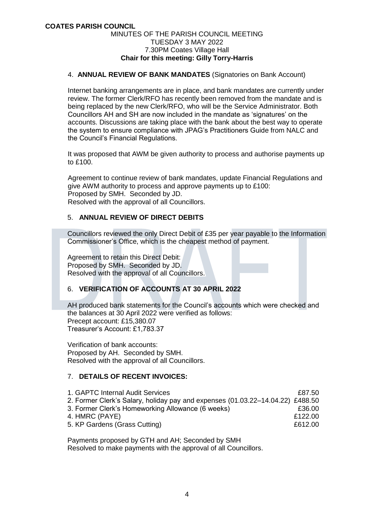#### MINUTES OF THE PARISH COUNCIL MEETING TUESDAY 3 MAY 2022 7.30PM Coates Village Hall **Chair for this meeting: Gilly Torry-Harris**

## 4. **ANNUAL REVIEW OF BANK MANDATES** (Signatories on Bank Account)

Internet banking arrangements are in place, and bank mandates are currently under review. The former Clerk/RFO has recently been removed from the mandate and is being replaced by the new Clerk/RFO, who will be the Service Administrator. Both Councillors AH and SH are now included in the mandate as 'signatures' on the accounts. Discussions are taking place with the bank about the best way to operate the system to ensure compliance with JPAG's Practitioners Guide from NALC and the Council's Financial Regulations.

It was proposed that AWM be given authority to process and authorise payments up to £100.

Agreement to continue review of bank mandates, update Financial Regulations and give AWM authority to process and approve payments up to £100: Proposed by SMH. Seconded by JD. Resolved with the approval of all Councillors.

#### 5. **ANNUAL REVIEW OF DIRECT DEBITS**

Councillors reviewed the only Direct Debit of £35 per year payable to the Information Commissioner's Office, which is the cheapest method of payment.

Agreement to retain this Direct Debit: Proposed by SMH. Seconded by JD. Resolved with the approval of all Councillors.

# 6. **VERIFICATION OF ACCOUNTS AT 30 APRIL 2022**

AH produced bank statements for the Council's accounts which were checked and the balances at 30 April 2022 were verified as follows: Precept account: £15,380.07 Treasurer's Account: £1,783.37

Verification of bank accounts: Proposed by AH. Seconded by SMH. Resolved with the approval of all Councillors.

# 7. **DETAILS OF RECENT INVOICES:**

| 1. GAPTC Internal Audit Services                                               | £87.50  |
|--------------------------------------------------------------------------------|---------|
| 2. Former Clerk's Salary, holiday pay and expenses (01.03.22–14.04.22) £488.50 |         |
| 3. Former Clerk's Homeworking Allowance (6 weeks)                              | £36.00  |
| 4. HMRC (PAYE)                                                                 | £122.00 |
| 5. KP Gardens (Grass Cutting)                                                  | £612.00 |

Payments proposed by GTH and AH; Seconded by SMH Resolved to make payments with the approval of all Councillors.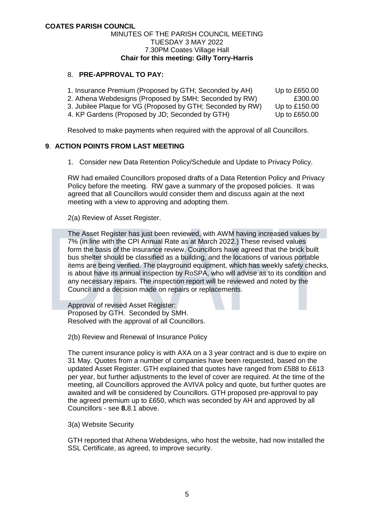## MINUTES OF THE PARISH COUNCIL MEETING TUESDAY 3 MAY 2022 7.30PM Coates Village Hall **Chair for this meeting: Gilly Torry-Harris**

# 8. **PRE-APPROVAL TO PAY:**

| 1. Insurance Premium (Proposed by GTH; Seconded by AH)     | Up to £650.00   |
|------------------------------------------------------------|-----------------|
| 2. Athena Webdesigns (Proposed by SMH; Seconded by RW)     | £300.00         |
| 3. Jubilee Plaque for VG (Proposed by GTH; Seconded by RW) | Up to $£150.00$ |
| 4. KP Gardens (Proposed by JD; Seconded by GTH)            | Up to £650.00   |

Resolved to make payments when required with the approval of all Councillors.

#### **9**. **ACTION POINTS FROM LAST MEETING**

1. Consider new Data Retention Policy/Schedule and Update to Privacy Policy.

RW had emailed Councillors proposed drafts of a Data Retention Policy and Privacy Policy before the meeting. RW gave a summary of the proposed policies. It was agreed that all Councillors would consider them and discuss again at the next meeting with a view to approving and adopting them.

2(a) Review of Asset Register.

The Asset Register has just been reviewed, with AWM having increased values by 7% (in line with the CPI Annual Rate as at March 2022.) These revised values form the basis of the insurance review. Councillors have agreed that the brick built bus shelter should be classified as a building, and the locations of various portable items are being verified. The playground equipment, which has weekly safety checks, is about have its annual inspection by RoSPA, who will advise as to its condition and any necessary repairs. The inspection report will be reviewed and noted by the Council and a decision made on repairs or replacements.

Approval of revised Asset Register: Proposed by GTH. Seconded by SMH. Resolved with the approval of all Councillors.

2(b) Review and Renewal of Insurance Policy

The current insurance policy is with AXA on a 3 year contract and is due to expire on 31 May. Quotes from a number of companies have been requested, based on the updated Asset Register. GTH explained that quotes have ranged from £588 to £613 per year, but further adjustments to the level of cover are required. At the time of the meeting, all Councillors approved the AVIVA policy and quote, but further quotes are awaited and will be considered by Councillors. GTH proposed pre-approval to pay the agreed premium up to £650, which was seconded by AH and approved by all Councillors - see **8.**8.1 above.

3(a) Website Security

GTH reported that Athena Webdesigns, who host the website, had now installed the SSL Certificate, as agreed, to improve security.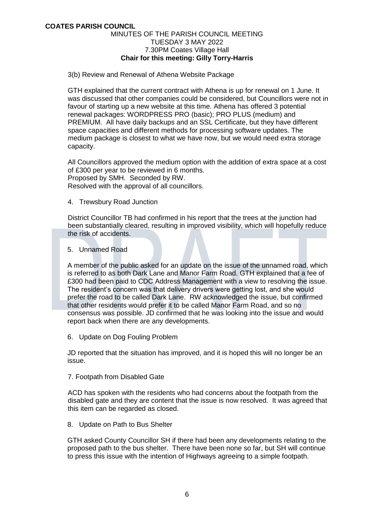#### MINUTES OF THE PARISH COUNCIL MEETING TUESDAY 3 MAY 2022 7.30PM Coates Village Hall **Chair for this meeting: Gilly Torry-Harris**

3(b) Review and Renewal of Athena Website Package

GTH explained that the current contract with Athena is up for renewal on 1 June. It was discussed that other companies could be considered, but Councillors were not in favour of starting up a new website at this time. Athena has offered 3 potential renewal packages: WORDPRESS PRO (basic); PRO PLUS (medium) and PREMIUM. All have daily backups and an SSL Certificate, but they have different space capacities and different methods for processing software updates. The medium package is closest to what we have now, but we would need extra storage capacity.

All Councillors approved the medium option with the addition of extra space at a cost of £300 per year to be reviewed in 6 months. Proposed by SMH. Seconded by RW. Resolved with the approval of all councillors.

4. Trewsbury Road Junction

District Councillor TB had confirmed in his report that the trees at the junction had been substantially cleared, resulting in improved visibility, which will hopefully reduce the risk of accidents.

5. Unnamed Road

A member of the public asked for an update on the issue of the unnamed road, which is referred to as both Dark Lane and Manor Farm Road. GTH explained that a fee of £300 had been paid to CDC Address Management with a view to resolving the issue. The resident's concern was that delivery drivers were getting lost, and she would prefer the road to be called Dark Lane. RW acknowledged the issue, but confirmed that other residents would prefer it to be called Manor Farm Road, and so no consensus was possible. JD confirmed that he was looking into the issue and would report back when there are any developments.

6. Update on Dog Fouling Problem

JD reported that the situation has improved, and it is hoped this will no longer be an issue.

7. Footpath from Disabled Gate

ACD has spoken with the residents who had concerns about the footpath from the disabled gate and they are content that the issue is now resolved. It was agreed that this item can be regarded as closed.

8. Update on Path to Bus Shelter

GTH asked County Councillor SH if there had been any developments relating to the proposed path to the bus shelter. There have been none so far, but SH will continue to press this issue with the intention of Highways agreeing to a simple footpath.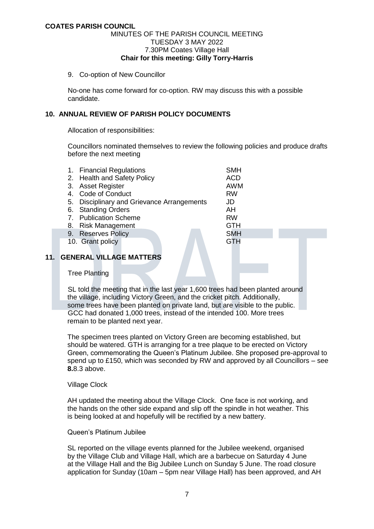#### MINUTES OF THE PARISH COUNCIL MEETING TUESDAY 3 MAY 2022 7.30PM Coates Village Hall **Chair for this meeting: Gilly Torry-Harris**

9. Co-option of New Councillor

No-one has come forward for co-option. RW may discuss this with a possible candidate.

# **10. ANNUAL REVIEW OF PARISH POLICY DOCUMENTS**

Allocation of responsibilities:

Councillors nominated themselves to review the following policies and produce drafts before the next meeting

|    | 1. Financial Regulations<br>2. Health and Safety Policy | <b>SMH</b><br><b>ACD</b> |
|----|---------------------------------------------------------|--------------------------|
| 3. | Asset Register                                          | <b>AWM</b>               |
| 4. | <b>Code of Conduct</b>                                  | <b>RW</b>                |
|    | 5. Disciplinary and Grievance Arrangements              | JD                       |
| 6. | <b>Standing Orders</b>                                  | AH                       |
|    | 7. Publication Scheme                                   | <b>RW</b>                |
| 8. | <b>Risk Management</b>                                  | <b>GTH</b>               |
|    | 9. Reserves Policy                                      | <b>SMH</b>               |
|    | 10. Grant policy                                        | GTH                      |

# **11. GENERAL VILLAGE MATTERS**

Tree Planting

SL told the meeting that in the last year 1,600 trees had been planted around the village, including Victory Green, and the cricket pitch. Additionally, some trees have been planted on private land, but are visible to the public. GCC had donated 1,000 trees, instead of the intended 100. More trees remain to be planted next year.

The specimen trees planted on Victory Green are becoming established, but should be watered. GTH is arranging for a tree plaque to be erected on Victory Green, commemorating the Queen's Platinum Jubilee. She proposed pre-approval to spend up to £150, which was seconded by RW and approved by all Councillors – see **8.**8.3 above.

#### Village Clock

AH updated the meeting about the Village Clock. One face is not working, and the hands on the other side expand and slip off the spindle in hot weather. This is being looked at and hopefully will be rectified by a new battery.

#### Queen's Platinum Jubilee

SL reported on the village events planned for the Jubilee weekend, organised by the Village Club and Village Hall, which are a barbecue on Saturday 4 June at the Village Hall and the Big Jubilee Lunch on Sunday 5 June. The road closure application for Sunday (10am – 5pm near Village Hall) has been approved, and AH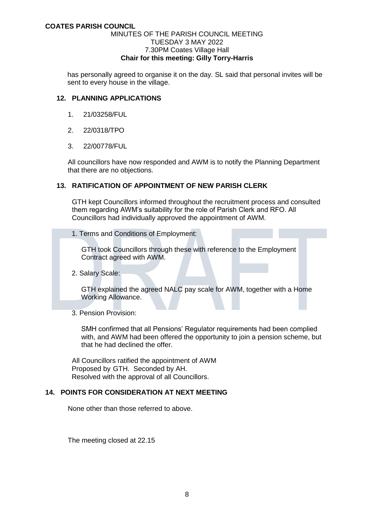#### MINUTES OF THE PARISH COUNCIL MEETING TUESDAY 3 MAY 2022 7.30PM Coates Village Hall **Chair for this meeting: Gilly Torry-Harris**

has personally agreed to organise it on the day. SL said that personal invites will be sent to every house in the village.

#### **12. PLANNING APPLICATIONS**

- 1. 21/03258/FUL
- 2. 22/0318/TPO
- 3. 22/00778/FUL

All councillors have now responded and AWM is to notify the Planning Department that there are no objections.

## **13. RATIFICATION OF APPOINTMENT OF NEW PARISH CLERK**

GTH kept Councillors informed throughout the recruitment process and consulted them regarding AWM's suitability for the role of Parish Clerk and RFO. All Councillors had individually approved the appointment of AWM.

1. Terms and Conditions of Employment:

 GTH took Councillors through these with reference to the Employment Contract agreed with AWM.

2. Salary Scale:

 GTH explained the agreed NALC pay scale for AWM, together with a Home Working Allowance.

3. Pension Provision:

 SMH confirmed that all Pensions' Regulator requirements had been complied with, and AWM had been offered the opportunity to join a pension scheme, but that he had declined the offer.

 All Councillors ratified the appointment of AWM Proposed by GTH. Seconded by AH. Resolved with the approval of all Councillors.

# **14. POINTS FOR CONSIDERATION AT NEXT MEETING**

None other than those referred to above.

The meeting closed at 22.15